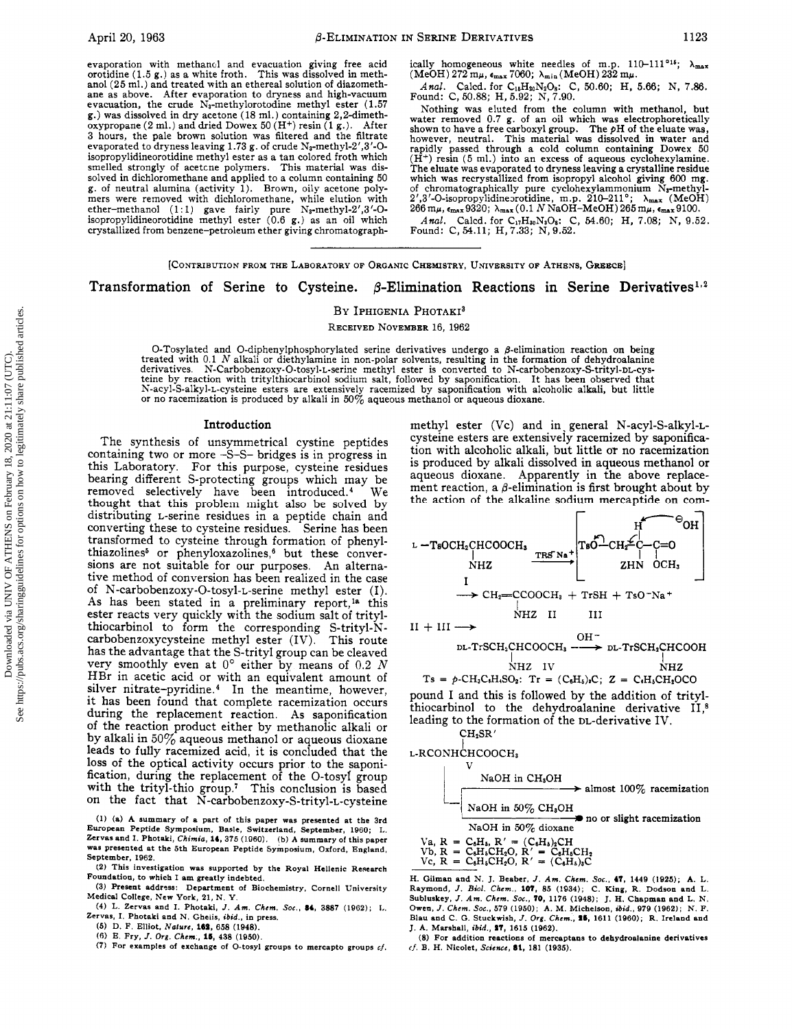evaporation with methanol and evacuation giving free acid orotidine (1.5 g.) as <sup>a</sup> white froth. This was dissolved in methanol (25 ml.) and treated with an ethereal solution of diazomethane as above. After evaporation to dryness and high-vacuum evacuation, the crude  $N_3$ -methylorotodine methyl ester (1.57) g.) was dissolved in dry acetone (18 ml.) containing 2,2-dimethoxypropane (2 ml.) and dried Dowex <sup>50</sup> (H+) resin (1 g.). After <sup>3</sup> hours, the pale brown solution was filtered and the filtrate evaporated to dryness leaving 1.73 g. of crude  $N_3$ -methyl-2',3'-Oisopropylidineorotidine methyl ester as <sup>a</sup> tan colored froth which smelled strongly of acetone polymers. This material was dissolved in dichloromethane and applied to <sup>a</sup> column containing 50 g. of neutral alumina (activity 1). Brown, oily acetone polymers were removed with dichloromethane, while elution with ether-methanol (1:1) gave fairly pure N<sub>8</sub>-methyl-2', 3'-O-<br>isopropylidineorotidine methyl ester (0.6 g.) as an oil which crystallized from benzene-petroleum ether giving chromatograph-

ically homogeneous white needles of m.p.  $110-111^{\circ 15}$ ;  $\lambda_{\text{max}}$  $(MeOH)$  272 m $\mu$ ,  $\epsilon_{max}$  7060;  $\lambda_{min}$  (MeOH) 232 m $\mu$ .

Anal. Caled. for C<sub>18</sub>H<sub>20</sub>N<sub>2</sub>O<sub>8</sub>: C, 50.60; H, 5.66; N, 7.86.<br>Found: C, 50.88; H, 5.92; N, 7.90.

Nothing was eluted from the column with methanol, but water removed 0.7 g. of an oil which was electrophoretically shown to have <sup>a</sup> free carboxyl group. The pH of the eluate was, however, neutral. This material was dissolved in water and rapidly passed through <sup>a</sup> cold column containing Dowex 50  $(H<sup>+</sup>)$  resin (5 ml.) into an excess of aqueous cyclohexylamine. The eluate was evaporated to dryness leaving a crystalline residue which was recrystallized from isopropyl alcohol giving 600 mg<br>of chromatographically pure cyclohexylammonium N<sub>3</sub>-methyl-<br>2',3'-O-isopropylidine orotidine, m.p. 210-211°;  $\lambda_{\text{max}}$  (MeOH)<br>266 m $\mu$ ,  $\epsilon_{\text{max}}$ 9320;  $\lambda_{\$ 

Anal. Caled. for  $C_{17}H_{80}N_3O_8$ : C, 54.60; H, 7.08; N, 9.52.<br>Found: C, 54.11; H, 7.33; N, 9.52.

### [Contribution from the Laboratory of Organic Chemistry, University of Athens, Greece]

## Transformation of Serine to Cysteine.  $\beta$ -Elimination Reactions in Serine Derivatives<sup>1,2</sup>

### BY IPHIGENIA PHOTAKI<sup>3</sup>

Received November 16, 1962

O-Tosylated and O-diphenylphosphorylated serine derivatives undergo a  $\beta$ -elimination reaction on being treated with 0.1 N alkali or diethylamine in non-polar solvents, resulting in the formation of dehydroalanine derivatives. N-Carbobenzoxy-O-tosyl-L-serine methyl ester is converted to N-carbobenzoxy-S-trityl-DL-cysteine by reaction with tritylthiocarbinol sodium salt, followed by saponification. It has been observed that<br>N-acyl-S-alkyl-L-cysteine esters are extensively racemized by saponification with alcoholic alkali, but little<br>or

#### Introduction

The synthesis of unsymmetrical cystine peptides containing two or more -S-S- bridges is in progress in this Laboratory. For this purpose, cysteine residues bearing different S-protecting groups which may be removed selectively have been introduced.<sup>4</sup> We removed selectively have been introduced.<sup>4</sup> thought that this problem might also be solved by distributing L-serine residues in <sup>a</sup> peptide chain and converting these to cysteine residues. Serine has been transformed to cysteine through formation of phenylthiazolines<sup>5</sup> or phenyloxazolines,<sup>6</sup> but these conversions are not suitable for our purposes. An alternative method of conversion has been realized in the case of N-carbobenzoxy-O-tosyl-L-serine methyl ester (I). As has been stated in a preliminary report,<sup>1a</sup> this ester reacts very quickly with the sodium salt of tritylthiocarbinol to form the corresponding S-trityl-Ncarbobenzoxycysteine methyl ester (IV). This route has the advantage that the S-trityl group can be cleaved very smoothly even at  $0^{\circ}$  either by means of  $0.2$  N HBr in acetic acid or with an equivalent amount of silver nitrate-pyridine.<sup>4</sup> In the meantime, however, it has been found that complete racemization occurs during the replacement reaction. As saponification of the reaction product either by methanolic alkali or by alkali in  $50\%$  aqueous methanol or aqueous dioxane leads to fully racemized acid, it is concluded that the loss of the optical activity occurs prior to the saponification, during the replacement of the O-tosyl group with the trityl-thio group.7 This conclusion is based on the fact that N-carbobenzoxy-S-trityl-L-cysteine

(1) (a) A summary of <sup>a</sup> part of this paper was presented at the 3rd European Peptide Symposium, Basle, Switzerland, September, 1960; L. Zervas and I. Photaki, Chimia, 14, <sup>375</sup> (1960). (b) <sup>A</sup> summary of this paper was presented at the 5th European Peptide Symposium, Oxford, England, September, 1962.

(2) This investigation was supported by the Royal Hellenic Research Foundation, to which I am greatly indebted.

(3) Present address: Department of Biochemistry, Cornell University Medical College, New York, 21, N. Y.

(4) L. Zervas and I. Photaki, J. Am. Chem. Soc., 84, 3887 (1962); L. Zervas, I. Photaki and N. Ghelis, ibid., in press. (5) D. F. Elliot, Nature, 182, 658 (1948).

(0) E. Fry, /. Org. Chem., 16, 438 (1950).

- (7) For examples of exchange of O-tosyl groups to mercapto groups  $cf$ .
- 

methyl ester (Vc) and in general N-acyl-S-alkyl-Lcysteine esters are extensively racemized by saponification with alcoholic alkali, but little or no racemization is produced by alkali dissolved in aqueous methanol or aqueous dioxane. Apparently in the above replacement reaction, a  $\beta$ -elimination is first brought about by the action of the alkaline sodium mercaptide on com-

$$
L - TsOCH_2CHCOOCH_3
$$
  
\n
$$
L - TsOCH_2CHCOOCH_3
$$
  
\n
$$
NHZ
$$
  
\n
$$
L TRS Na
$$
  
\n
$$
TRS Na
$$
  
\n
$$
VH2
$$
  
\n
$$
VH3
$$
  
\n
$$
VH4Z
$$
  
\n
$$
I
$$
  
\n
$$
VH3
$$
  
\n
$$
VH4Z
$$
  
\n
$$
VH2
$$
  
\n
$$
VH1
$$
  
\n
$$
VH2
$$
  
\n
$$
VH2
$$
  
\n
$$
VH2
$$
  
\n
$$
VH2
$$
  
\n
$$
VH2
$$
  
\n
$$
VH2
$$
  
\n
$$
VH2
$$
  
\n
$$
VH2
$$
  
\n
$$
VH2
$$
  
\n
$$
VH2
$$
  
\n
$$
VH2
$$
  
\n
$$
VH2
$$
  
\n
$$
VH2
$$
  
\n
$$
VH2
$$
  
\n
$$
VH2
$$
  
\n
$$
VH2
$$
  
\n
$$
VH2
$$
  
\n
$$
VH2
$$
  
\n
$$
VH2
$$
  
\n
$$
VH2
$$

 $Ts = p\text{-CH}_3\text{C}_4\text{H}_4\text{SO}_2$ :  $Tr = (C_6H_5)_2C$ ;  $Z = C_6H_5CH_2OCO$ pound I and this is followed by the addition of tritylthiocarbinol to the dehydroalanine derivative II,8 leading to the formation of the DL-derivative IV.  $CH<sub>2</sub>SR'$ 

L-RCONHCHCOOCH,

VaOH in CH<sub>3</sub>OH  
\nNaOH in 50% CH<sub>3</sub>OH  
\nNaOH in 50% distance  
\nVaH in 50% dioxane  
\nVaH in 50% dioxane  
\n
$$
V_{a, R} = C_{a}H_{a}, R' = (C_{b}H_{b})_{a}CH
$$
\n
$$
V_{b, R} = C_{a}H_{b}CH_{2}O, R' = C_{b}H_{b}CH_{2}
$$
\n
$$
V_{c, R} = C_{c}H_{b}CH_{2}O, R' = (C_{b}H_{b})_{a}C
$$

H. Gilman and N. J. Beaber, J. Am. Chem. Soc., 47, 1449 (1925); A. L. Raymond, J. Biol. Chem., 107, 85 (1934); C. King, R. Dodson and L. Subluskey, J. Am. Chem. Soc., 70, 1176 (1948); J. H. Chapman and L. N. Owen, J. Chem. Soc., 579 (1950); A. M. Michelson, ibid., 979 (1962); N. F. Blau and C. G. Stuckwish, J. Org. Chem., 26, 1611 (1960); R. Ireland and J. A. Marshall, ibid., 27, 1615 (1962).

(8) For addition reactions of mercaptans to dehydroalanine derivatives cf. B. H. Nicolet, Science, 81, 181 (1935).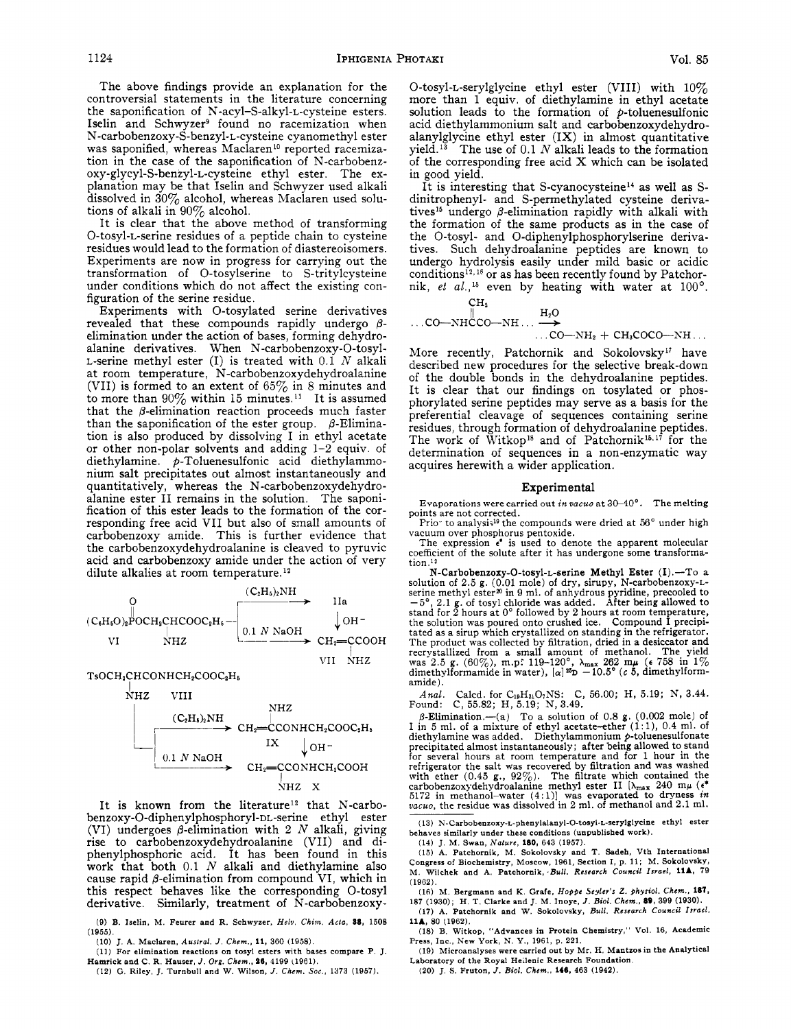The above findings provide an explanation for the controversial statements in the literature concerning the saponification of N-acyl-S-alkyl-L-cysteine esters. Iselin and Schwyzer<sup>9</sup> found no racemization when N-carbobenzoxy-S-benzyl-L-cysteine cyanomethyl ester was saponified, whereas Maclaren<sup>10</sup> reported racemization in the case of the saponification of N-carbobenzoxy-glycyl-S-benzyl-L-cysteine ethyl ester. The explanation may be that Iselin and Schwyzer used alkali dissolved in 30% alcohol, whereas Maclaren used solutions of alkali in 90% alcohol.

It is clear that the above method of transforming O-tosyl-L-serine residues of <sup>a</sup> peptide chain to cysteine residues would lead to the formation of diastereoisomers. Experiments are now in progress for carrying out the transformation of O-tosylserine to S-tritylcysteine under conditions which do not affect the existing configuration of the serine residue.

Experiments with O-tosylated serine derivatives revealed that these compounds rapidly undergo  $\beta$ elimination under the action of bases, forming dehydroalanine derivatives. When N-carbobenzoxy-O-tosyl-L-serine methyl ester  $(I)$  is treated with  $0.1 N$  alkali at room temperature, N-carbobenzoxydehydroalanine (VII) is formed to an extent of  $65\%$  in 8 minutes and to more than  $90\%$  within 15 minutes.<sup>11</sup> It is assumed that the  $\beta$ -elimination reaction proceeds much faster than the saponification of the ester group.  $\beta$ -Elimination is also produced by dissolving I in ethyl acetate or other non-polar solvents and adding 1-2 equiv. of diethylamine.  $p$ -Toluenesulfonic acid diethylammonium salt precipitates out almost instantaneously and quantitatively, whereas the N-carbobenzoxydehydroalanine ester II remains in the solution. The saponification of this ester leads to the formation of the corresponding free acid VII but also of small amounts of carbobenzoxy amide. This is further evidence that the carbobenzoxydehydroalanine is cleaved to pyruvic acid and carbobenzoxy amide under the action of very dilute alkalies at room temperature. $^{12}$ 



TsOCH<sub>2</sub>CHCONHCH<sub>2</sub>COOC<sub>2</sub>H<sub>5</sub>



It is known from the literature<sup>12</sup> that N-carbobenzoxy-O-diphenylphosphoryl-DL-serine ethyl ester (VI) undergoes  $\beta$ -elimination with 2 N alkali, giving rise to carbobenzoxydehydroalanine (VII) and diphenylphosphoric acid. It has been found in this work that both  $0.1$   $N$  alkali and diethylamine also cause rapid  $\beta$ -elimination from compound VI, which in this respect behaves like the corresponding O-tosyl derivative. Similarly, treatment of N-carbobenzoxy-

(9) B. Iselin, M. Fewer and R. Schwyzer, Helv. Chim. Acta, 88, 1508 (1955).

(10) J. A. Maclaren, Austral. J. Chem., 11, 360 (1958).

(11) For elimination reactions on tosyl esters with bases compare P. J. Hamrick and C. R. Hauser, J. Org. Chem., 86, 4199 (1961).

(12) G. Riley, J. Turnbull and W. Wilson, J. Chem. Soc., 1373 (1957).

O-tosyl-L-serylglycine ethyl ester (VIII) with  $10\%$ more than <sup>1</sup> equiv. of diethylamine in ethyl acetate solution leads to the formation of  $\rho$ -toluenesulfonic acid diethylammonium salt and carbobenzoxydehydroalanylglycine ethyl ester  $(IX)$  in almost quantitative yield.<sup>13</sup> The use of  $0.1 N$  alkali leads to the formation of the corresponding free acid X which can be isolated in good yield.

It is interesting that S-cyanocysteine14 as well as Sdinitrophenyl- and S-permethylated cysteine derivatives<sup>15</sup> undergo  $\beta$ -elimination rapidly with alkali with the formation of the same products as in the case of the O-tosyl- and O-diphenylphosphorylserine derivatives. Such dehydroalanine peptides are known to undergo hydrolysis easily under mild basic or acidic conditions<sup>12, 16</sup> or as has been recently found by Patchornik, et al.,<sup>15</sup> even by heating with water at  $100^{\circ}$ .

$$
\begin{array}{c}\n\text{CH}_{2} \\
\parallel \\
\text{C0}-\text{NHCCO}-\text{NH} \dots \stackrel{\text{H}_{2}O}{\longrightarrow} \\
\text{C0}-\text{NH}_{2} + \text{CH}_{3}\text{COCO}-\text{NH} \dots\n\end{array}
$$

More recently, Patchornik and Sokolovsky<sup>17</sup> have described new procedures for the selective break-down of the double bonds in the dehydroalanine peptides. It is clear that our findings on tosylated or phosphorylated serine peptides may serve as <sup>a</sup> basis for the preferential cleavage of sequences containing serine residues, through formation of dehydroalanine peptides. The work of Witkop<sup>18</sup> and of Patchornik<sup>15,17</sup> for the determination of sequences in <sup>a</sup> non-enzymatic way acquires herewith <sup>a</sup> wider application.

#### Experimental

Evaporations were carried out in vacuo at  $30-40^{\circ}$ . The melting points are not corrected.

Prio" to analysis<sup>19</sup> the compounds were dried at 56° under high

vacuum over phosphorus pentoxide.<br>The expression  $\epsilon^*$  is used to denote the apparent molecular coefficient of the solute after it has undergone some transformation.12

N-Carbobenzoxy-O-tosyl-L-serine Methyl Ester (I).—To <sup>a</sup> solution of 2.5 g. (0.01 mole) of dry, sirupy, N-carbobenzoxy-Lserine methyl ester<sup>20</sup> in 9 ml. of anhydrous pyridine, precooled to  $-5^{\circ}$ 2.1 g. of tosyl chloride was added. After being allowed to stand for <sup>2</sup> hours at 0° followed by <sup>2</sup> hours at room temperature, the solution was poured onto crushed ice. Compound I precipitated as <sup>a</sup> sirup which crystallized on standing in the refrigerator. The product was collected by filtration, dried in <sup>a</sup> desiccator and recrystallized from a small amount of methanol. The yield<br>was 2.5 g. (60%), m.p. 119-120°,  $\lambda_{\text{max}}$  262 m $\mu$  ( $\epsilon$  758 in 1%)<br>dimethylformamide in water), [ $\alpha$ ]<sup>26</sup>D -10.5° (*c* 5, dimethylformamide).

Anal. Calcd. for  $C_{19}H_{21}O_7NS$ : C, 56.00; H, 5.19; N, 3.44. Found: C,  $55.82$ ; H,  $5.19$ ; N,  $3.49$ .

 $\beta$ -Elimination.—(a) To a solution of 0.8 g. (0.002 mole) of 1 in 5 ml. of a mixture of ethyl acetate-ether (1:1), 0.4 ml. of diethylamine was added. Diethylammonium p-toluenesulfonate precipitated almost instantaneously; after being allowed to stand<br>for several hours at room temperature and for 1 hour in the<br>refrigerator the salt was recovered by filtration and was washed<br>with ether (0.45 g, 92%). The vacuo, the residue was dissolved in <sup>2</sup> ml. of methanol and 2.1 ml.

(13) N-Carbobenzoxy-L-phenylalanyl-O-tosyl-L-serylglycine ethyl ester behaves similarly under these conditions (unpublished work).

(14) J. M. Swan, Nature, 180, 643 (1957).

(15) A. Patchornik, M. Sokolovsky and T. Sadeh, Vth International Congress of Biochemistry, Moscow, 1961, Section I, p. 11; M. Sokolovsky, M. Wilchek and A. Patchornik, -Bull. Research Council Israel, 11A, 79 (1962).

(16) M. Bergmann and K. Grafe, Hoppe Seyler's Z. physiol. Chem., 187, 187 (1930); H. T. Clarke and J. M. Inoye, J. Biol. Chem., 89, 399 (1930).

(17) A. Patchornik and W. Sokolovsky, Bull. Research Council Israel, 11A, 80 (1962).

(18) B. Witkop, "Advances in Protein Chemistry," Vol, 16, Academic Press, Inc., New York, N. Y., 1961, p. 221.

(19) Microanalyses were carried out by Mr. H. Mantzos in the Analytical Laboratory of the Royal Hellenic Research Foundation.

(20) J. S. Fruton, J. Biol. Chem., 146, 463 (1942).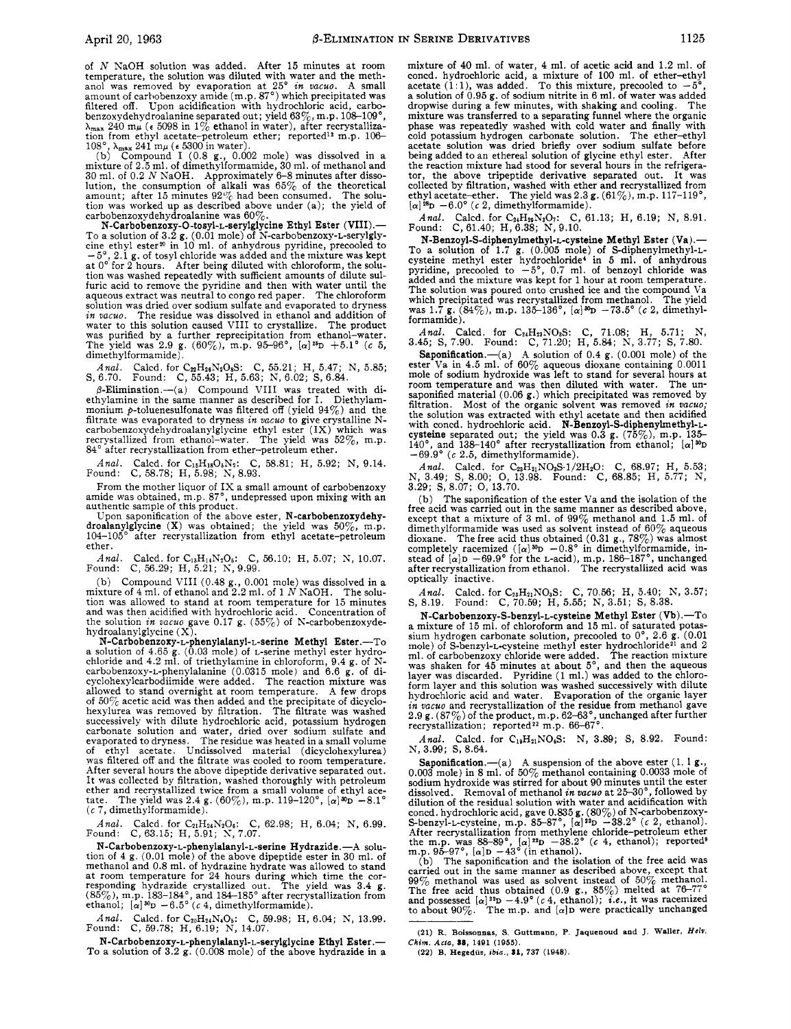of A NaOH solution was added. After 15 minutes at room temperature, the solution was diluted with water and the meth-<br>anol was removed by evaporation at  $25^\circ$  *in vacuo*. A small<br>amount of carbobenzoxy amide (m.p. 87°) which precipitated was filtered off. Upon acidification with hydrochloric acid, carbobenzoxydehydroalanine separated out; yield 63%, m.p. 108-109°,  $\lambda_{\text{max}}$  240 mu (c 5098 in 1% ethanol in water), after recrystalliza-

tion from ethyl acetate-petroleum ether; reported<sup>12</sup> m.p. 106-<br>108°,  $\lambda_{\text{max}} 241 \text{ m}\mu$  ( $\epsilon$  5300 in water).<br>(b) Compound I (0.8 g., 0.002 mole) was dissolved in a<br>mixture of 2.5 ml. of dimethylformamide, 30 ml. of me tion was worked up as described above under (a); the yield of carbobenzoxydehydroalanine was  $60\%$ .

N-Carbobenzoxy-O-tosyl-L-serylglycine Ethyl Ester (VIII).—<br>To a solution of 3.2 g. (0.01 mole) of N-carbobenzoxy-L-serylgly-<br>cine ethyl ester<sup>20</sup> in 10 ml. of anhydrous pyridine, precooled to — 5°, 2.1 g. of tosyl chloride was added and the mixture was kept at 0° for <sup>2</sup> hours. After being diluted with chloroform, the solution was washed repeatedly with sufficient amounts of dilute sulfuric acid to remove the pyridine and then with water until the aqueous extract was neutral to congo red paper. The chloroform solution was dried over sodium in vacuo. The residue was dissolved in ethanol and addition of water to this solution caused VIII to crystallize. The product was purified by a further reprecipitation from ethanol-water.<br>The yield was 2.9 g. (60%), m.p. 95-96°,  $[\alpha]^{26}D + 5.1^{\circ}$  (c 5, dimethylformamide).

*Anal.* Caled. for C<sub>22</sub>H<sub>26</sub>N<sub>2</sub>O<sub>8</sub>S: C, 55.21; H, 5.47; N, 5.85; S, 6.70. Found: C, 55.43; H, 5.63; N, 6.02; S, 6.84.

 $\beta$ -Elimination.—(a) Compound VIII was treated with diethylamine in the same manner as described for I. Diethylam-monium £-toluenesulfonate was filtered off (yield 94%) and the filtrate was evaporated to dryness *in vacuo* to give crystalline N-<br>carbobenzoxydehydroalanylglycine ethyl ester (IX) which was<br>recrystallized from ethanol-water. The yield was 52%, m.p.<br>84° after recrystallization from

*Anal.* Caled. for  $C_{15}H_{18}O_6N_2$ : C, 58.81; H, 5.92; N, 9.14.<br>Found: C, 58.78; H, 5.98; N, 8.93.

From the mother liquor of IX <sup>a</sup> small amount of carbobenzoxy amide was obtained, m.p. 87°, undepressed upon mixing with an authentic sample of this product.

Upon saponification of the above ester, N-carbobenzoxydehy-<br>droalanylglycine (X) was obtained; the yield was 50%, m.p. 104-105° after recrystallization from ethyl acetate-petroleum ether.

Anal. Calcd. for  $C_{13}H_{14}N_2O_6$ : C, 56.10; H, 5.07; N, 10.07. Found: C, 56.29; H, 5.21; N, 9.99.  $C, 56.29; H, 5.21; N, 9.99.$ 

(b) Compound VIII (0.48 g., 0.001 mole) was dissolved in a mixture of  $4$  ml. of ethanol and  $2.2$  ml. of 1 N NaOH. The solution was allowed to stand at room temperature for 15 minutes<br>and was then acidified with hydrochloric acid. Concentration of<br>the solution *in vacuo* gave 0.17 g. (55%) of N-carbobenzoxydehydroalanylglycine  $(X)$ .

N-Carbobenzoxy-L-phenylalanyl-L-serine Methyl Ester.—To <sup>a</sup> solution of 4.65 g. (0.03 mole) of L-serine methyl ester hydro-chloride and 4.2 ml. of triethylamine in chloroform, 9.4 g. of Ncarbobenzoxy-L-phenylalanine (0.0315 mole) and 6.6 g. of dicyclohexylcarbodiimide were added. The reaction mixture was allowed to stand overnight at room temperature. A few drops of  $50\%$  acetic acid was then added and the precipitate of dicyclo-<br>hexylurea was removed by filtration. The filtrate was washed<br>successively with dilute hydrochloric acid, potassium hydrogen<br>carbonate solution and water evaporated to dryness. The residue was heated in a small volume of ethyl acetate. Undissolved material (dicyclohexylurea) was filtered off and the filtrate was cooled to room temperature. After several hours the above dipeptide derivative separated out. It was collected by filtration, washed thoroughly with petroleum ether and recrystallized twice from a small volume of ethyl ace-<br>tate. The yield was 2.4 g. (60%), m.p. 119–120°, [a]<sup>30</sup>D –8.1°<br>(c 7, dimethylformamide).

*Anal.* Caled. for  $C_{21}H_{24}N_2O_6$ : C, 62.98; H, 6.04; N, 6.99.<br>Found: C, 63.15; H, 5.91; N, 7.07.

N-Carbobenzoxy-L-phenylalanyl-L-serine Hydrazide.—A solution of <sup>4</sup> g. (0.01 mole) of the above dipeptide ester in 30 ml. of methanol and 0.8 ml. of hydrazine hydrate was allowed to stand<br>at room temperature for 24 hours during which time the cor-<br>responding hydrazide crystallized out. The yield was 3.4 g,<br>(85%), m.p. 183-184°, and 184-185° aft

*Anal.* Caled. for  $C_{20}H_{24}N_4O_5$ : C, 59.98; H, 6.04; N, 13.99.<br>Found: C, 59.78; H, 6.19; N, 14.07.

N-Carbobenzoxy-L-phenylalanyl-L-serylglycine Ethyl Ester.— To <sup>a</sup> solution of 3.2 g. (0.008 mole) of the above hydrazide in <sup>a</sup> mixture of 40 ml. of water, <sup>4</sup> ml. of acetic acid and 1.2 ml. of coned. hydrochloric acid, a mixture of 100 ml. of ether-ethyl acetate  $(1:1)$ , was added. To this mixture, precooled to  $-5^{\circ}$ , <sup>a</sup> solution of 0.95 g. of sodium nitrite in <sup>6</sup> ml. of water was added dropwise during <sup>a</sup> few minutes, with shaking and cooling. The mixture was transferred to <sup>a</sup> separating funnel where the organic phase was repeatedly washed with cold water and finally with cold potassium hydrogen carbonate solution. The ether-ethyl acetate solution was dried briefly over sodium sulfate before being added to an ethereal solution of glycine ethyl ester. After the reaction mixture had stood for several hours in the refrigerator, the above tripeptide derivative separated out. It was collected by filtration, washed with ether and recrystallized from<br>ethyl acetate–ether. The yield was  $2.3$  g. (61%), m.p. 117–119°,<br> $[\alpha]$ <sup>28</sup>D –6.0° (*c* 2, dimethylformamide).

Anal. Caled. for  $C_{24}H_{29}N_3O_7$ : C, 61.13; H, 6.19; N, 8.91.<br>Found: C, 61.40; H, 6.38; N, 9.10.

N-Benzoyl-S-diphenylmethyl-L-cysteine Methyl Ester (Va).—<br>To a solution of 1.7 g. (0.005 mole) of S-diphenylmethyl-L-cysteine methyl ester hydrochloride<sup>4</sup> in 5 ml. of anhydrous pyridine, precooled to  $-5^{\circ}$ , 0.7 ml. of benzoyl chloride was added and the mixture was kept for <sup>1</sup> hour at room temperature. The solution was poured onto crushed ice and the compound Va which precipitated was recrystallized from methanol. The yield was 1.7 g.  $(84\%)$ , m.p. 135–136°,  $[\alpha]$ <sup>30</sup>D  $-73.5$ ° (*c* 2, dimethyl-formamide).

Anal. Caled. for  $C_{24}H_{23}NO_3S$ : C, 71.08; H, 5.71; N, 3.45; S, 7.90. Found: C, 71.20; H, 5.84; N, 3.77; S, 7.80.

Saponification.—(a) A solution of 0.4 g. (0.001 mole) of the ester Va in 4.5 ml. of 60% aqueous dioxane containing 0,0011 mole of sodium hydroxide was left to stand for several hours at room temperature and was then diluted with water. The un-saponified material (0.06 g.) which precipitated was removed by filtration. Most of the organic solvent was removed in vacuo, the solution was extracted with ethyl acetate and then acidified<br>with concd. hydrochloric acid. **N-Benzoyl-S-dipherylmethyl-**<br>cysteine separated out; the yield was 0.3 g. (75%), m.p. 135-<br>140°, and 138-140° after recrysta

*Anal.* Caled. for  $C_{23}H_{21}NO_3S.1/2H_2O$ : C, 68.97; H, 5.53; N, 3.49; S, 8.00; O, 13.98. Found: C, 68.85; H, 5.77; N, 3.29; S, 8.07; O, 13.70.

(b) The saponification of the ester Va and the isolation of the free acid was carried out in the same manner as described above, except that <sup>a</sup> mixture of <sup>3</sup> ml. of 99% methanol and 1.5 ml. of dimethylformamide was used as solvent instead of  $60\%$  aqueous dioxane. The free acid thus obtained  $(0.31 \text{ g}., 78\%)$  was almost completely racemized ( $[\alpha]^{\text{3D}} -0.8^{\circ}$  in dimethylformamide, instead of  $[\alpha]D -69.9^{\circ}$  for the *L*-acid), m.p. 186–187°, unchanged after recrystallization from ethanol. The recrystallized acid was optically inactive.

*Anal.* Caled. for  $C_{23}H_{21}NO_3S$ : C, 70.56; H, 5.40; N, 3.57; S, 8.19. Found: C, 70.59; H, 5.55; N, 3.51; S, 8.38.

N-Carbobenzoxy-S-benzyl-L-cysteine Methyl Ester (Vb).—To a mixture of 15 ml. of chloroform and 15 ml. of saturated potas-<br>sium hydrogen carbonate solution, precooled to 0°, 2.6 g. (0.01<br>mole) of S-benzyl-L-cysteine methyl ester hydrochloride<sup>21</sup> and 2<br>ml. of carbobenzoxy chlori form layer and this solution was washed successively with dilute hydrochloric acid and water. Evaporation of the organic layer in vacuo and recrystallization of the residue from methanol gave  $2.9$  g.  $(87\%)$  of the product, m.p.  $62\text{--}63\degree$ , unchanged after further recrystallization; reported<sup>22</sup> m.p.  $66\text{--}67\degree$ .

*Anal.* Caled. for  $C_{19}H_{21}NO_4S$ : N, 3.89; S, 8.92. Found: N, 3.99; S, 8.64.

Saponification.—(a) A suspension of the above ester  $(1, 1, g)$ , O. <sup>003</sup> mole) in <sup>8</sup> ml. of 50% methanol containing 0.0033 mole of sodium hydroxide was stirred for about 90 minutes until the ester dissolved. Removal of methanol in vacuo at 25-30°, followed by dilution of the residual solution with water and acidification with coned. hydrochloric acid, gave 0.835 g. (80%) of N-carbobenzoxy-<br>S-benzyl-L-cysteine, m.p. 85–87°, [a]<sup>22</sup>D -38.2° (c 2, ethanol). After recrystallization from methylene chloride-petroleum ether<br>the m.p. was 88-89°,  $[\alpha]^{2x}D -38.2^{\circ}$  (c 4, ethanol); reported<sup>8</sup><br>m.p. 95-97°,  $[\alpha]D -43^{\circ}$  (in ethanol).<br>(b) The saponification and the isolation of the

carried out in the same manner as described above, except that  $99\%$  methanol was used as solvent instead of 50% methanol. The free acid thus obtained (0.9 g., 85%) melted at 76-77° and possessed  $[\alpha]^{22}D - 4.9^{\circ}$  (*c* 4, ethanol); *i.e.*, it was racemized to about 90%. The m.p. and  $[\alpha]D$  were practically unchanged

<sup>(21)</sup> R. Boissonnas, S. Guttmann, P. Jaquenoud and J. Waller, Helv. Chim. Acta, 88, 1491 (1955).

<sup>(22)</sup> B. Hegedüs, ibia., 81, 737 (1948).